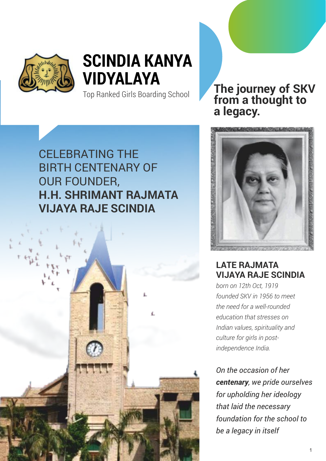

# **SCINDIA KANYA VIDYALAYA**

Top Ranked Girls Boarding School

### CELEBRATING THE BIRTH CENTENARY OF OUR FOUNDER, **H.H. SHRIMANT RAJMATA VIJAYA RAJE SCINDIA**



**The journey of SKV from a thought to a legacy.**



### **LATE RAJMATA VIJAYA RAJE SCINDIA**

*born on 12th Oct, 1919 founded SKV in 1956 to meet the need for a well-rounded education that stresses on Indian values, spirituality and culture for girls in postindependence India.*

*On the occasion of her centenary, we pride ourselves for upholding her ideology that laid the necessary foundation for the school to be a legacy in itself*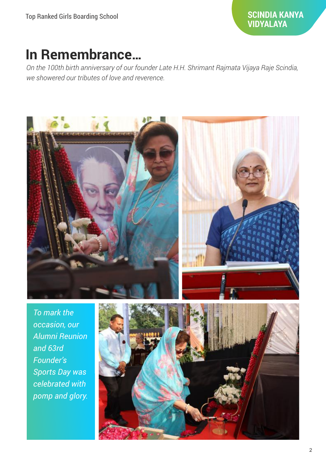#### **SCINDIA KANYA VIDYALAYA**

### **In Remembrance…**

*On the 100th birth anniversary of our founder Late H.H. Shrimant Rajmata Vijaya Raje Scindia, we showered our tributes of love and reverence.*



*To mark the occasion, our Alumni Reunion and 63rd Founder's Sports Day was celebrated with pomp and glory.*

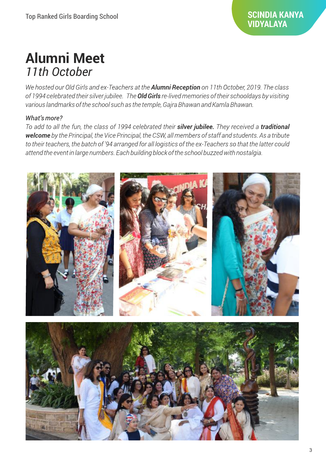### **Alumni Meet**  *11th October*

We hosted our Old Girls and ex-Teachers at the **Alumni Reception** on 11th October, 2019. The class of 1994 celebrated their silver jubilee. The **Old Girls** re-lived memories of their schooldays by visiting various landmarks of the school such as the temple, Gajra Bhawan and Kamla Bhawan.

#### What's more?

To add to all the fun, the class of 1994 celebrated their silver jubilee. They received a traditional welcome by the Principal, the Vice Principal, the CSW, all members of staff and students. As a tribute to their teachers, the batch of '94 arranged for all logistics of the ex-Teachers so that the latter could attend the event in large numbers. Each building block of the school buzzed with nostalgia.

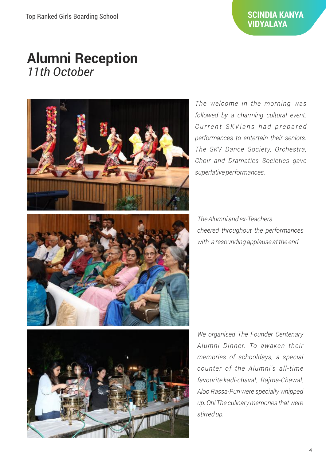#### **SCINDIA KANYA VIDYALAYA**

### **Alumni Reception** *11th October*



*The welcome in the morning was followed by a charming cultural event.*   $C$  *urrent SKV ians had prepared performances to entertain their seniors. The SKV Dance Society, Orchestra, Choir and Dramatics Societies gave superlative performances.* 

*The Alumni and ex-Teachers cheered throughout the performances with a resounding applause at the end.*



*We organised The Founder Centenary Alumni Dinner. To awaken their memories of schooldays, a special counter of the Alumni's all-time favourite kadi-chaval, Rajma-Chawal, Aloo Rassa-Puri were specially whipped up. Oh! The culinary memories that were stirred up.*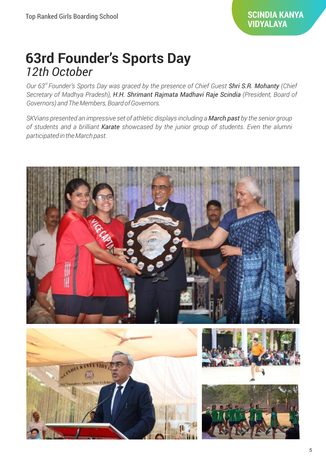### **63rd Founder's Sports Day** *12th October*

*rd Our 63 Founder's Sports Day was graced by the presence of Chief Guest Shri S.R. Mohanty (Chief Secretary of Madhya Pradesh), H.H. Shrimant Rajmata Madhavi Raje Scindia (President, Board of Governors) and The Members, Board of Governors.*

*SKVians presented an impressive set of athletic displays including a March past by the senior group of students and a brilliant Karate showcased by the junior group of students. Even the alumni participated in the March past.*

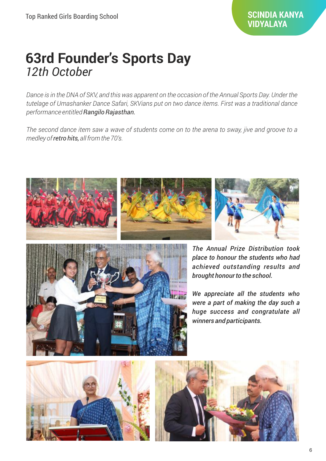### **63rd Founder's Sports Day** *12th October*

*Dance is in the DNA of SKV, and this was apparent on the occasion of the Annual Sports Day. Under the tutelage of Umashanker Dance Safari, SKVians put on two dance items. First was a traditional dance performance entitled Rangilo Rajasthan.*

*The second dance item saw a wave of students come on to the arena to sway, jive and groove to a medley of retro hits, all from the 70's.* 









*The Annual Prize Distribution took place to honour the students who had achieved outstanding results and brought honour to the school.* 

*We appreciate all the students who were a part of making the day such a huge success and congratulate all winners and participants.*



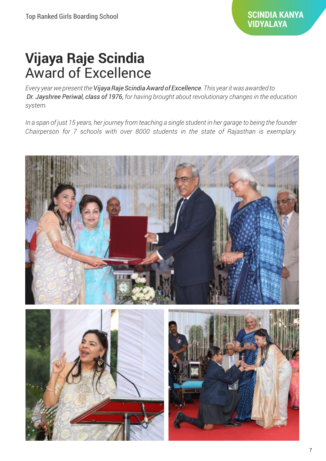## **Vijaya Raje Scindia**  Award of Excellence

*Every year we present the Vijaya Raje Scindia Award of Excellence. This year it was awarded to Dr. Jayshree Periwal, class of 1976, for having brought about revolutionary changes in the education system.* 

*In a span of just 15 years, her journey from teaching a single student in her garage to being the founder Chairperson for 7 schools with over 8000 students in the state of Rajasthan is exemplary.*